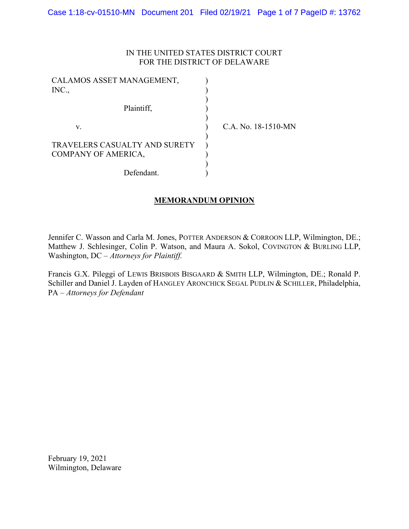## IN THE UNITED STATES DISTRICT COURT FOR THE DISTRICT OF DELAWARE

| CALAMOS ASSET MANAGEMENT,<br>INC.,                          |                     |
|-------------------------------------------------------------|---------------------|
| Plaintiff,                                                  |                     |
| v.                                                          | C.A. No. 18-1510-MN |
| <b>TRAVELERS CASUALTY AND SURETY</b><br>COMPANY OF AMERICA, |                     |
| Defendant.                                                  |                     |

# MEMORANDUM OPINION

Jennifer C. Wasson and Carla M. Jones, POTTER ANDERSON & CORROON LLP, Wilmington, DE.; Matthew J. Schlesinger, Colin P. Watson, and Maura A. Sokol, COVINGTON & BURLING LLP, Washington, DC – Attorneys for Plaintiff.

Francis G.X. Pileggi of LEWIS BRISBOIS BISGAARD & SMITH LLP, Wilmington, DE.; Ronald P. Schiller and Daniel J. Layden of HANGLEY ARONCHICK SEGAL PUDLIN & SCHILLER, Philadelphia, PA – Attorneys for Defendant

February 19, 2021 Wilmington, Delaware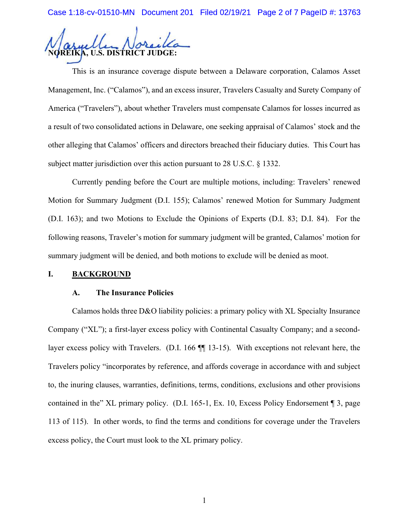Case 1:18-cv-01510-MN Document 201 Filed 02/19/21 Page 2 of 7 PageID #: 13763

U.S. DISTRICT JUDGE:

This is an insurance coverage dispute between a Delaware corporation, Calamos Asset Management, Inc. ("Calamos"), and an excess insurer, Travelers Casualty and Surety Company of America ("Travelers"), about whether Travelers must compensate Calamos for losses incurred as a result of two consolidated actions in Delaware, one seeking appraisal of Calamos' stock and the other alleging that Calamos' officers and directors breached their fiduciary duties. This Court has subject matter jurisdiction over this action pursuant to 28 U.S.C. § 1332.

Currently pending before the Court are multiple motions, including: Travelers' renewed Motion for Summary Judgment (D.I. 155); Calamos' renewed Motion for Summary Judgment (D.I. 163); and two Motions to Exclude the Opinions of Experts (D.I. 83; D.I. 84). For the following reasons, Traveler's motion for summary judgment will be granted, Calamos' motion for summary judgment will be denied, and both motions to exclude will be denied as moot.

### I. BACKGROUND

#### A. The Insurance Policies

Calamos holds three D&O liability policies: a primary policy with XL Specialty Insurance Company ("XL"); a first-layer excess policy with Continental Casualty Company; and a secondlayer excess policy with Travelers. (D.I. 166 ¶¶ 13-15). With exceptions not relevant here, the Travelers policy "incorporates by reference, and affords coverage in accordance with and subject to, the inuring clauses, warranties, definitions, terms, conditions, exclusions and other provisions contained in the" XL primary policy. (D.I. 165-1, Ex. 10, Excess Policy Endorsement ¶ 3, page 113 of 115). In other words, to find the terms and conditions for coverage under the Travelers excess policy, the Court must look to the XL primary policy.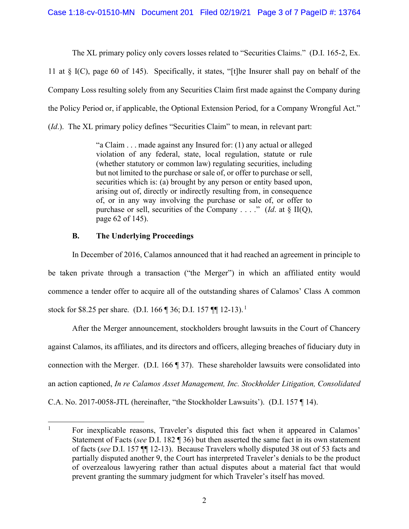The XL primary policy only covers losses related to "Securities Claims." (D.I. 165-2, Ex.

11 at § I(C), page 60 of 145). Specifically, it states, "[t]he Insurer shall pay on behalf of the Company Loss resulting solely from any Securities Claim first made against the Company during the Policy Period or, if applicable, the Optional Extension Period, for a Company Wrongful Act." (Id.). The XL primary policy defines "Securities Claim" to mean, in relevant part:

> "a Claim . . . made against any Insured for: (1) any actual or alleged violation of any federal, state, local regulation, statute or rule (whether statutory or common law) regulating securities, including but not limited to the purchase or sale of, or offer to purchase or sell, securities which is: (a) brought by any person or entity based upon, arising out of, directly or indirectly resulting from, in consequence of, or in any way involving the purchase or sale of, or offer to purchase or sell, securities of the Company . . . ." (*Id.* at  $\S$  II(Q), page 62 of 145).

## B. The Underlying Proceedings

In December of 2016, Calamos announced that it had reached an agreement in principle to be taken private through a transaction ("the Merger") in which an affiliated entity would commence a tender offer to acquire all of the outstanding shares of Calamos' Class A common stock for \$8.25 per share. (D.I. 166 ¶ 36; D.I. 157 ¶¶ 12-13).<sup>1</sup>

After the Merger announcement, stockholders brought lawsuits in the Court of Chancery against Calamos, its affiliates, and its directors and officers, alleging breaches of fiduciary duty in connection with the Merger. (D.I. 166 ¶ 37). These shareholder lawsuits were consolidated into an action captioned, In re Calamos Asset Management, Inc. Stockholder Litigation, Consolidated C.A. No. 2017-0058-JTL (hereinafter, "the Stockholder Lawsuits'). (D.I. 157 ¶ 14).

<sup>&</sup>lt;sup>1</sup> For inexplicable reasons, Traveler's disputed this fact when it appeared in Calamos' Statement of Facts (see D.I. 182  $\P$  36) but then asserted the same fact in its own statement of facts (see D.I. 157 ¶¶ 12-13). Because Travelers wholly disputed 38 out of 53 facts and partially disputed another 9, the Court has interpreted Traveler's denials to be the product of overzealous lawyering rather than actual disputes about a material fact that would prevent granting the summary judgment for which Traveler's itself has moved.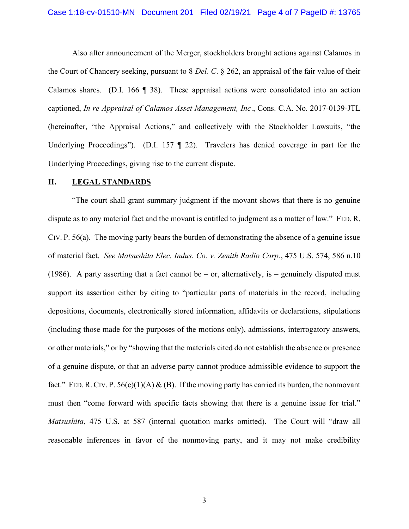Also after announcement of the Merger, stockholders brought actions against Calamos in the Court of Chancery seeking, pursuant to 8 Del. C. § 262, an appraisal of the fair value of their Calamos shares. (D.I. 166 ¶ 38). These appraisal actions were consolidated into an action captioned, In re Appraisal of Calamos Asset Management, Inc., Cons. C.A. No. 2017-0139-JTL (hereinafter, "the Appraisal Actions," and collectively with the Stockholder Lawsuits, "the Underlying Proceedings"). (D.I. 157 ¶ 22). Travelers has denied coverage in part for the Underlying Proceedings, giving rise to the current dispute.

### II. LEGAL STANDARDS

"The court shall grant summary judgment if the movant shows that there is no genuine dispute as to any material fact and the movant is entitled to judgment as a matter of law." FED. R. CIV. P. 56(a). The moving party bears the burden of demonstrating the absence of a genuine issue of material fact. See Matsushita Elec. Indus. Co. v. Zenith Radio Corp., 475 U.S. 574, 586 n.10 (1986). A party asserting that a fact cannot be – or, alternatively, is – genuinely disputed must support its assertion either by citing to "particular parts of materials in the record, including depositions, documents, electronically stored information, affidavits or declarations, stipulations (including those made for the purposes of the motions only), admissions, interrogatory answers, or other materials," or by "showing that the materials cited do not establish the absence or presence of a genuine dispute, or that an adverse party cannot produce admissible evidence to support the fact." FED. R. CIV. P.  $56(c)(1)(A) & (B)$ . If the moving party has carried its burden, the nonmovant must then "come forward with specific facts showing that there is a genuine issue for trial." Matsushita, 475 U.S. at 587 (internal quotation marks omitted). The Court will "draw all reasonable inferences in favor of the nonmoving party, and it may not make credibility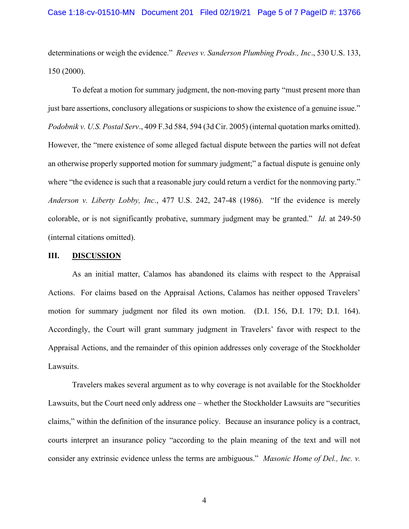determinations or weigh the evidence." Reeves v. Sanderson Plumbing Prods., Inc., 530 U.S. 133, 150 (2000).

To defeat a motion for summary judgment, the non-moving party "must present more than just bare assertions, conclusory allegations or suspicions to show the existence of a genuine issue." Podobnik v. U.S. Postal Serv., 409 F.3d 584, 594 (3d Cir. 2005) (internal quotation marks omitted). However, the "mere existence of some alleged factual dispute between the parties will not defeat an otherwise properly supported motion for summary judgment;" a factual dispute is genuine only where "the evidence is such that a reasonable jury could return a verdict for the nonmoving party." Anderson v. Liberty Lobby, Inc., 477 U.S. 242, 247-48 (1986). "If the evidence is merely colorable, or is not significantly probative, summary judgment may be granted." *Id.* at 249-50 (internal citations omitted).

### III. DISCUSSION

As an initial matter, Calamos has abandoned its claims with respect to the Appraisal Actions. For claims based on the Appraisal Actions, Calamos has neither opposed Travelers' motion for summary judgment nor filed its own motion. (D.I. 156, D.I. 179; D.I. 164). Accordingly, the Court will grant summary judgment in Travelers' favor with respect to the Appraisal Actions, and the remainder of this opinion addresses only coverage of the Stockholder Lawsuits.

Travelers makes several argument as to why coverage is not available for the Stockholder Lawsuits, but the Court need only address one – whether the Stockholder Lawsuits are "securities claims," within the definition of the insurance policy. Because an insurance policy is a contract, courts interpret an insurance policy "according to the plain meaning of the text and will not consider any extrinsic evidence unless the terms are ambiguous." Masonic Home of Del., Inc. v.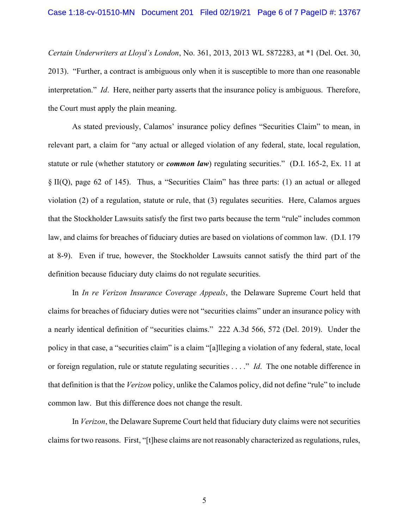Certain Underwriters at Lloyd's London, No. 361, 2013, 2013 WL 5872283, at \*1 (Del. Oct. 30, 2013). "Further, a contract is ambiguous only when it is susceptible to more than one reasonable interpretation." *Id.* Here, neither party asserts that the insurance policy is ambiguous. Therefore, the Court must apply the plain meaning.

As stated previously, Calamos' insurance policy defines "Securities Claim" to mean, in relevant part, a claim for "any actual or alleged violation of any federal, state, local regulation, statute or rule (whether statutory or *common law*) regulating securities." (D.I. 165-2, Ex. 11 at § II(Q), page 62 of 145). Thus, a "Securities Claim" has three parts: (1) an actual or alleged violation (2) of a regulation, statute or rule, that (3) regulates securities. Here, Calamos argues that the Stockholder Lawsuits satisfy the first two parts because the term "rule" includes common law, and claims for breaches of fiduciary duties are based on violations of common law. (D.I. 179 at 8-9). Even if true, however, the Stockholder Lawsuits cannot satisfy the third part of the definition because fiduciary duty claims do not regulate securities.

In In re Verizon Insurance Coverage Appeals, the Delaware Supreme Court held that claims for breaches of fiduciary duties were not "securities claims" under an insurance policy with a nearly identical definition of "securities claims." 222 A.3d 566, 572 (Del. 2019). Under the policy in that case, a "securities claim" is a claim "[a]lleging a violation of any federal, state, local or foreign regulation, rule or statute regulating securities . . . ." *Id*. The one notable difference in that definition is that the Verizon policy, unlike the Calamos policy, did not define "rule" to include common law. But this difference does not change the result.

In Verizon, the Delaware Supreme Court held that fiduciary duty claims were not securities claims for two reasons. First, "[t]hese claims are not reasonably characterized as regulations, rules,